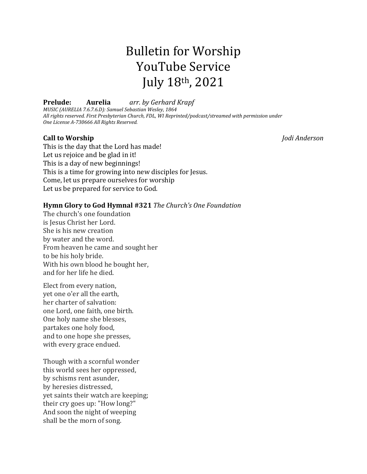# Bulletin for Worship YouTube Service July 18th, 2021

**Prelude: Aurelia** *arr. by Gerhard Krapf MUSIC (AURELIA 7.6.7.6.D): Samuel Sebastian Wesley, 1864 All rights reserved. First Presbyterian Church, FDL, WI Reprinted/podcast/streamed with permission under One License A-730666 All Rights Reserved.*

# **Call to Worship** *Jodi Anderson*

This is the day that the Lord has made! Let us rejoice and be glad in it! This is a day of new beginnings! This is a time for growing into new disciples for Jesus. Come, let us prepare ourselves for worship Let us be prepared for service to God.

## **Hymn Glory to God Hymnal #321** *The Church's One Foundation*

The church's one foundation is Jesus Christ her Lord. She is his new creation by water and the word. From heaven he came and sought her to be his holy bride. With his own blood he bought her, and for her life he died.

Elect from every nation, yet one o'er all the earth, her charter of salvation: one Lord, one faith, one birth. One holy name she blesses, partakes one holy food, and to one hope she presses, with every grace endued.

Though with a scornful wonder this world sees her oppressed, by schisms rent asunder, by heresies distressed, yet saints their watch are keeping; their cry goes up: "How long?" And soon the night of weeping shall be the morn of song.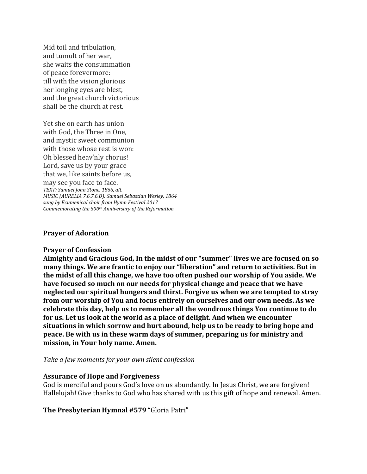Mid toil and tribulation, and tumult of her war, she waits the consummation of peace forevermore: till with the vision glorious her longing eyes are blest, and the great church victorious shall be the church at rest.

Yet she on earth has union with God, the Three in One, and mystic sweet communion with those whose rest is won: Oh blessed heav'nly chorus! Lord, save us by your grace that we, like saints before us,

may see you face to face. *TEXT: Samuel John Stone, 1866, alt. MUSIC (AURELIA 7.6.7.6.D): Samuel Sebastian Wesley, 1864 sung by Ecumenical choir from Hymn Festival 2017 Commemorating the 500th Anniversary of the Reformation*

#### **Prayer of Adoration**

#### **Prayer of Confession**

**Almighty and Gracious God, In the midst of our "summer" lives we are focused on so many things. We are frantic to enjoy our "liberation" and return to activities. But in the midst of all this change, we have too often pushed our worship of You aside. We have focused so much on our needs for physical change and peace that we have neglected our spiritual hungers and thirst. Forgive us when we are tempted to stray from our worship of You and focus entirely on ourselves and our own needs. As we celebrate this day, help us to remember all the wondrous things You continue to do for us. Let us look at the world as a place of delight. And when we encounter situations in which sorrow and hurt abound, help us to be ready to bring hope and peace. Be with us in these warm days of summer, preparing us for ministry and mission, in Your holy name. Amen.**

*Take a few moments for your own silent confession*

#### **Assurance of Hope and Forgiveness**

God is merciful and pours God's love on us abundantly. In Jesus Christ, we are forgiven! Hallelujah! Give thanks to God who has shared with us this gift of hope and renewal. Amen.

**The Presbyterian Hymnal #579**"Gloria Patri"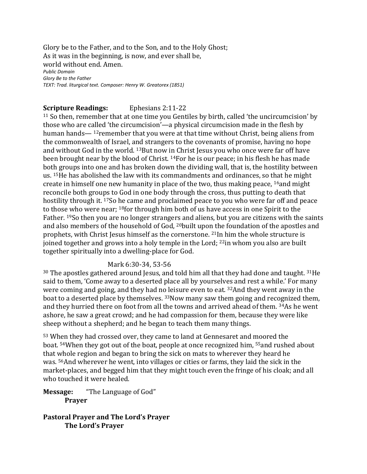Glory be to the Father, and to the Son, and to the Holy Ghost; As it was in the beginning, is now, and ever shall be,   world without end. Amen.   *Public Domain Glory Be to the Father TEXT: Trad. liturgical text. Composer: Henry W. Greatorex (1851)*  

# **Scripture Readings:** Ephesians 2:11-22

<sup>11</sup> So then, remember that at one time you Gentiles by birth, called 'the uncircumcision' by those who are called 'the circumcision'—a physical circumcision made in the flesh by human hands— <sup>12</sup>remember that you were at that time without Christ, being aliens from the commonwealth of Israel, and strangers to the covenants of promise, having no hope and without God in the world. <sup>13</sup>But now in Christ Jesus you who once were far off have been brought near by the blood of Christ. <sup>14</sup>For he is our peace; in his flesh he has made both groups into one and has broken down the dividing wall, that is, the hostility between us. <sup>15</sup>He has abolished the law with its commandments and ordinances, so that he might create in himself one new humanity in place of the two, thus making peace, <sup>16</sup>and might reconcile both groups to God in one body through the cross, thus putting to death that hostility through it. <sup>17</sup>So he came and proclaimed peace to you who were far off and peace to those who were near; <sup>18</sup>for through him both of us have access in one Spirit to the Father. <sup>19</sup>So then you are no longer strangers and aliens, but you are citizens with the saints and also members of the household of God, <sup>20</sup>built upon the foundation of the apostles and prophets, with Christ Jesus himself as the cornerstone. <sup>21</sup>In him the whole structure is joined together and grows into a holy temple in the Lord; <sup>22</sup>in whom you also are built together spiritually into a dwelling-place for God.

# Mark 6:30-34, 53-56

<sup>30</sup> The apostles gathered around Jesus, and told him all that they had done and taught. <sup>31</sup>He said to them, 'Come away to a deserted place all by yourselves and rest a while.' For many were coming and going, and they had no leisure even to eat. <sup>32</sup>And they went away in the boat to a deserted place by themselves. <sup>33</sup>Now many saw them going and recognized them, and they hurried there on foot from all the towns and arrived ahead of them. <sup>34</sup>As he went ashore, he saw a great crowd; and he had compassion for them, because they were like sheep without a shepherd; and he began to teach them many things.

<sup>53</sup> When they had crossed over, they came to land at Gennesaret and moored the boat. <sup>54</sup>When they got out of the boat, people at once recognized him, <sup>55</sup>and rushed about that whole region and began to bring the sick on mats to wherever they heard he was. <sup>56</sup>And wherever he went, into villages or cities or farms, they laid the sick in the market-places, and begged him that they might touch even the fringe of his cloak; and all who touched it were healed.

**Message:** "The Language of God" **Prayer**

**Pastoral Prayer and The Lord's Prayer The Lord's Prayer**